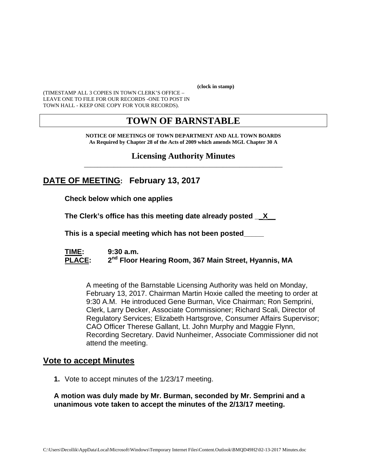**(clock in stamp)** 

(TIMESTAMP ALL 3 COPIES IN TOWN CLERK'S OFFICE – LEAVE ONE TO FILE FOR OUR RECORDS -ONE TO POST IN TOWN HALL - KEEP ONE COPY FOR YOUR RECORDS).

# **TOWN OF BARNSTABLE**

**NOTICE OF MEETINGS OF TOWN DEPARTMENT AND ALL TOWN BOARDS As Required by Chapter 28 of the Acts of 2009 which amends MGL Chapter 30 A** 

**Licensing Authority Minutes** \_\_\_\_\_\_\_\_\_\_\_\_\_\_\_\_\_\_\_\_\_\_\_\_\_\_\_\_\_\_\_\_\_\_\_\_\_\_\_\_\_\_\_\_\_\_\_\_\_\_\_\_\_\_\_\_\_\_\_\_

# **DATE OF MEETING: February 13, 2017**

**Check below which one applies** 

**The Clerk's office has this meeting date already posted \_\_X\_\_** 

 **This is a special meeting which has not been posted\_\_\_\_\_** 

**TIME: 9:30 a.m.**  PLACE: 2<sup>nd</sup> Floor Hearing Room, 367 Main Street, Hyannis, MA

A meeting of the Barnstable Licensing Authority was held on Monday, February 13, 2017. Chairman Martin Hoxie called the meeting to order at 9:30 A.M. He introduced Gene Burman, Vice Chairman; Ron Semprini, Clerk, Larry Decker, Associate Commissioner; Richard Scali, Director of Regulatory Services; Elizabeth Hartsgrove, Consumer Affairs Supervisor; CAO Officer Therese Gallant, Lt. John Murphy and Maggie Flynn, Recording Secretary. David Nunheimer, Associate Commissioner did not attend the meeting.

### **Vote to accept Minutes**

**1.** Vote to accept minutes of the 1/23/17 meeting.

**A motion was duly made by Mr. Burman, seconded by Mr. Semprini and a unanimous vote taken to accept the minutes of the 2/13/17 meeting.**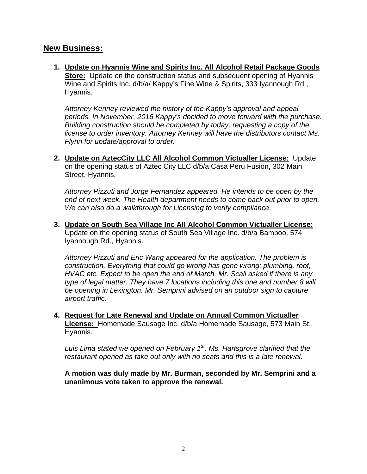### **New Business:**

**1. Update on Hyannis Wine and Spirits Inc. All Alcohol Retail Package Goods Store:** Update on the construction status and subsequent opening of Hyannis Wine and Spirits Inc. d/b/a/ Kappy's Fine Wine & Spirits, 333 Iyannough Rd., Hyannis.

*Attorney Kenney reviewed the history of the Kappy's approval and appeal periods. In November, 2016 Kappy's decided to move forward with the purchase. Building construction should be completed by today, requesting a copy of the license to order inventory. Attorney Kenney will have the distributors contact Ms. Flynn for update/approval to order.* 

**2. Update on AztecCity LLC All Alcohol Common Victualler License:** Update on the opening status of Aztec City LLC d/b/a Casa Peru Fusion, 302 Main Street, Hyannis.

*Attorney Pizzuti and Jorge Fernandez appeared. He intends to be open by the end of next week. The Health department needs to come back out prior to open. We can also do a walkthrough for Licensing to verify compliance.* 

**3. Update on South Sea Village Inc All Alcohol Common Victualler License:** Update on the opening status of South Sea Village Inc. d/b/a Bamboo, 574 Iyannough Rd., Hyannis.

*Attorney Pizzuti and Eric Wang appeared for the application. The problem is construction. Everything that could go wrong has gone wrong; plumbing, roof, HVAC etc. Expect to be open the end of March. Mr. Scali asked if there is any type of legal matter. They have 7 locations including this one and number 8 will be opening in Lexington. Mr. Semprini advised on an outdoor sign to capture airport traffic.* 

**4. Request for Late Renewal and Update on Annual Common Victualler License:** Homemade Sausage Inc. d/b/a Homemade Sausage, 573 Main St., Hyannis.

*Luis Lima stated we opened on February 1st. Ms. Hartsgrove clarified that the restaurant opened as take out only with no seats and this is a late renewal*.

**A motion was duly made by Mr. Burman, seconded by Mr. Semprini and a unanimous vote taken to approve the renewal.**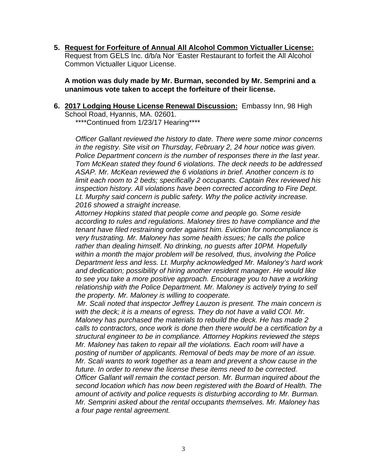**5. Request for Forfeiture of Annual All Alcohol Common Victualler License:** Request from GELS Inc. d/b/a Nor 'Easter Restaurant to forfeit the All Alcohol Common Victualler Liquor License.

**A motion was duly made by Mr. Burman, seconded by Mr. Semprini and a unanimous vote taken to accept the forfeiture of their license.** 

**6. 2017 Lodging House License Renewal Discussion:** Embassy Inn, 98 High School Road, Hyannis, MA. 02601.

\*\*\*\*Continued from 1/23/17 Hearing\*\*\*\*

*Officer Gallant reviewed the history to date. There were some minor concerns in the registry. Site visit on Thursday, February 2, 24 hour notice was given. Police Department concern is the number of responses there in the last year. Tom McKean stated they found 6 violations. The deck needs to be addressed ASAP. Mr. McKean reviewed the 6 violations in brief. Another concern is to limit each room to 2 beds; specifically 2 occupants. Captain Rex reviewed his inspection history. All violations have been corrected according to Fire Dept. Lt. Murphy said concern is public safety. Why the police activity increase. 2016 showed a straight increase.* 

*Attorney Hopkins stated that people come and people go. Some reside according to rules and regulations. Maloney tires to have compliance and the tenant have filed restraining order against him. Eviction for noncompliance is very frustrating. Mr. Maloney has some health issues; he calls the police rather than dealing himself. No drinking, no guests after 10PM. Hopefully within a month the major problem will be resolved, thus, involving the Police Department less and less. Lt. Murphy acknowledged Mr. Maloney's hard work and dedication; possibility of hiring another resident manager. He would like*  to see you take a more positive approach. Encourage you to have a working relationship with the Police Department. Mr. Maloney is actively trying to sell *the property. Mr. Maloney is willing to cooperate.* 

*Mr. Scali noted that inspector Jeffrey Lauzon is present. The main concern is with the deck; it is a means of egress. They do not have a valid COI. Mr. Maloney has purchased the materials to rebuild the deck. He has made 2 calls to contractors, once work is done then there would be a certification by a structural engineer to be in compliance. Attorney Hopkins reviewed the steps Mr. Maloney has taken to repair all the violations. Each room will have a posting of number of applicants. Removal of beds may be more of an issue. Mr. Scali wants to work together as a team and prevent a show cause in the future. In order to renew the license these items need to be corrected. Officer Gallant will remain the contact person. Mr. Burman inquired about the second location which has now been registered with the Board of Health. The amount of activity and police requests is disturbing according to Mr. Burman. Mr. Semprini asked about the rental occupants themselves. Mr. Maloney has a four page rental agreement.*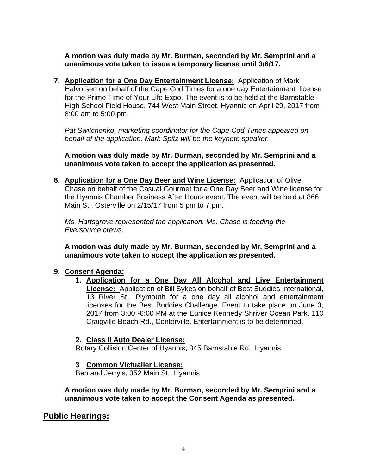**A motion was duly made by Mr. Burman, seconded by Mr. Semprini and a unanimous vote taken to issue a temporary license until 3/6/17.** 

**7. Application for a One Day Entertainment License:** Application of Mark Halvorsen on behalf of the Cape Cod Times for a one day Entertainment license for the Prime Time of Your Life Expo. The event is to be held at the Barnstable High School Field House, 744 West Main Street, Hyannis on April 29, 2017 from 8:00 am to 5:00 pm.

*Pat Switchenko, marketing coordinator for the Cape Cod Times appeared on behalf of the application. Mark Spitz will be the keynote speaker.* 

**A motion was duly made by Mr. Burman, seconded by Mr. Semprini and a unanimous vote taken to accept the application as presented.**

**8. Application for a One Day Beer and Wine License:** Application of Olive Chase on behalf of the Casual Gourmet for a One Day Beer and Wine license for the Hyannis Chamber Business After Hours event. The event will be held at 866 Main St., Osterville on 2/15/17 from 5 pm to 7 pm.

*Ms. Hartsgrove represented the application. Ms. Chase is feeding the Eversource crews.* 

**A motion was duly made by Mr. Burman, seconded by Mr. Semprini and a unanimous vote taken to accept the application as presented.** 

#### **9. Consent Agenda:**

**1. Application for a One Day All Alcohol and Live Entertainment License:** Application of Bill Sykes on behalf of Best Buddies International, 13 River St., Plymouth for a one day all alcohol and entertainment licenses for the Best Buddies Challenge. Event to take place on June 3, 2017 from 3:00 -6:00 PM at the Eunice Kennedy Shriver Ocean Park, 110 Craigville Beach Rd., Centerville. Entertainment is to be determined.

### **2. Class II Auto Dealer License:**

Rotary Collision Center of Hyannis, 345 Barnstable Rd., Hyannis

### **3 Common Victualler License:**

Ben and Jerry's, 352 Main St., Hyannis

**A motion was duly made by Mr. Burman, seconded by Mr. Semprini and a unanimous vote taken to accept the Consent Agenda as presented.**

## **Public Hearings:**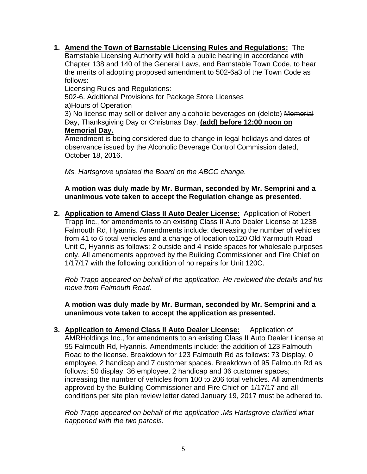### **1. Amend the Town of Barnstable Licensing Rules and Regulations:** The

Barnstable Licensing Authority will hold a public hearing in accordance with Chapter 138 and 140 of the General Laws, and Barnstable Town Code, to hear the merits of adopting proposed amendment to 502-6a3 of the Town Code as follows:

Licensing Rules and Regulations:

502-6. Additional Provisions for Package Store Licenses a)Hours of Operation

3) No license may sell or deliver any alcoholic beverages on (delete) Memorial Day, Thanksgiving Day or Christmas Day, **(add) before 12:00 noon on Memorial Day.** 

Amendment is being considered due to change in legal holidays and dates of observance issued by the Alcoholic Beverage Control Commission dated, October 18, 2016.

*Ms. Hartsgrove updated the Board on the ABCC change.* 

#### **A motion was duly made by Mr. Burman, seconded by Mr. Semprini and a unanimous vote taken to accept the Regulation change as presented***.*

**2. Application to Amend Class II Auto Dealer License:** Application of Robert Trapp Inc., for amendments to an existing Class II Auto Dealer License at 123B Falmouth Rd, Hyannis. Amendments include: decreasing the number of vehicles from 41 to 6 total vehicles and a change of location to120 Old Yarmouth Road Unit C, Hyannis as follows: 2 outside and 4 inside spaces for wholesale purposes only. All amendments approved by the Building Commissioner and Fire Chief on 1/17/17 with the following condition of no repairs for Unit 120C.

*Rob Trapp appeared on behalf of the application*. *He reviewed the details and his move from Falmouth Road.* 

**A motion was duly made by Mr. Burman, seconded by Mr. Semprini and a unanimous vote taken to accept the application as presented.**

**3. Application to Amend Class II Auto Dealer License:** Application of AMRHoldings Inc., for amendments to an existing Class II Auto Dealer License at 95 Falmouth Rd, Hyannis. Amendments include: the addition of 123 Falmouth Road to the license. Breakdown for 123 Falmouth Rd as follows: 73 Display, 0 employee, 2 handicap and 7 customer spaces. Breakdown of 95 Falmouth Rd as follows: 50 display, 36 employee, 2 handicap and 36 customer spaces; increasing the number of vehicles from 100 to 206 total vehicles. All amendments approved by the Building Commissioner and Fire Chief on 1/17/17 and all conditions per site plan review letter dated January 19, 2017 must be adhered to.

*Rob Trapp appeared on behalf of the application .Ms Hartsgrove clarified what happened with the two parcels.*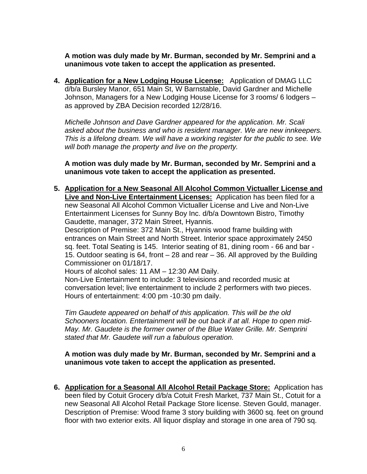**A motion was duly made by Mr. Burman, seconded by Mr. Semprini and a unanimous vote taken to accept the application as presented.**

**4. Application for a New Lodging House License:** Application of DMAG LLC d/b/a Bursley Manor, 651 Main St, W Barnstable, David Gardner and Michelle Johnson, Managers for a New Lodging House License for 3 rooms/ 6 lodgers – as approved by ZBA Decision recorded 12/28/16.

*Michelle Johnson and Dave Gardner appeared for the application. Mr. Scali asked about the business and who is resident manager. We are new innkeepers. This is a lifelong dream. We will have a working register for the public to see. We will both manage the property and live on the property.* 

**A motion was duly made by Mr. Burman, seconded by Mr. Semprini and a unanimous vote taken to accept the application as presented.**

**5. Application for a New Seasonal All Alcohol Common Victualler License and Live and Non-Live Entertainment Licenses:** Application has been filed for a new Seasonal All Alcohol Common Victualler License and Live and Non-Live Entertainment Licenses for Sunny Boy Inc. d/b/a Downtown Bistro, Timothy Gaudette, manager, 372 Main Street, Hyannis.

Description of Premise: 372 Main St., Hyannis wood frame building with entrances on Main Street and North Street. Interior space approximately 2450 sq. feet. Total Seating is 145. Interior seating of 81, dining room - 66 and bar - 15. Outdoor seating is 64, front – 28 and rear – 36. All approved by the Building Commissioner on 01/18/17.

Hours of alcohol sales: 11 AM – 12:30 AM Daily.

Non-Live Entertainment to include: 3 televisions and recorded music at conversation level; live entertainment to include 2 performers with two pieces. Hours of entertainment: 4:00 pm -10:30 pm daily.

*Tim Gaudete appeared on behalf of this application. This will be the old Schooners location. Entertainment will be out back if at all. Hope to open mid-May. Mr. Gaudete is the former owner of the Blue Water Grille. Mr. Semprini stated that Mr. Gaudete will run a fabulous operation.* 

#### **A motion was duly made by Mr. Burman, seconded by Mr. Semprini and a unanimous vote taken to accept the application as presented.**

**6. Application for a Seasonal All Alcohol Retail Package Store:** Application has been filed by Cotuit Grocery d/b/a Cotuit Fresh Market, 737 Main St., Cotuit for a new Seasonal All Alcohol Retail Package Store license. Steven Gould, manager. Description of Premise: Wood frame 3 story building with 3600 sq. feet on ground floor with two exterior exits. All liquor display and storage in one area of 790 sq.